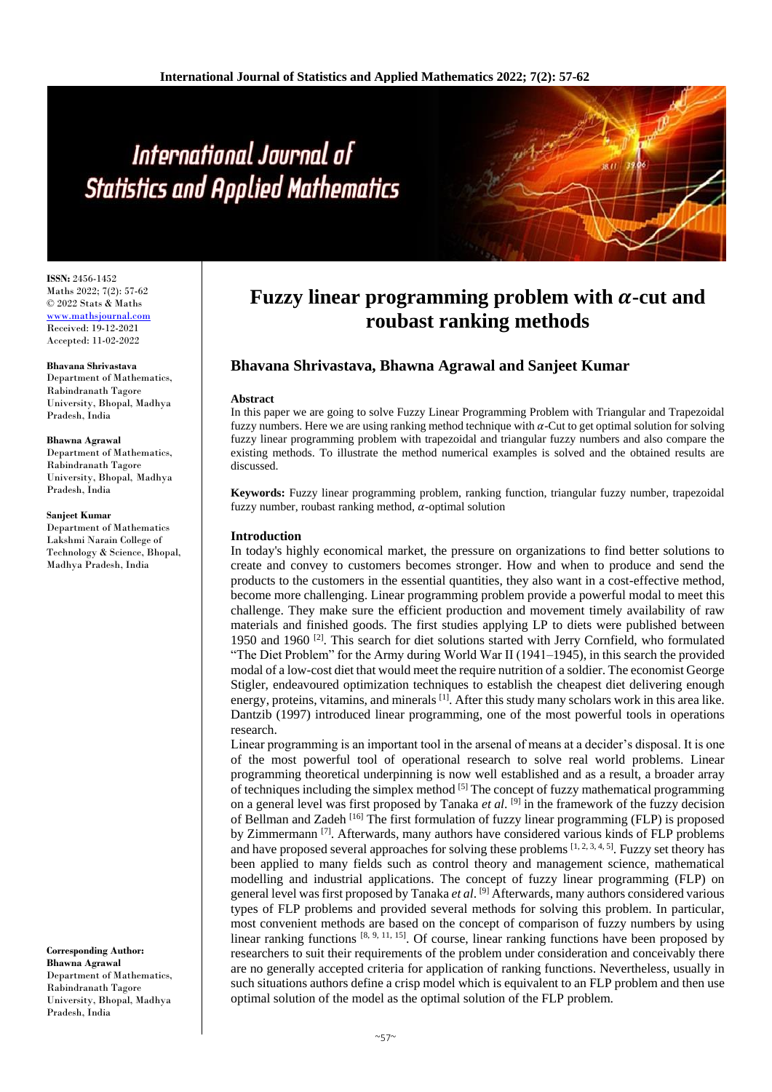# International Journal of **Statistics and Applied Mathematics**

**ISSN:** 2456-1452 Maths 2022; 7(2): 57-62 © 2022 Stats & Maths [www.mathsjournal.com](file://server/d/Maths/Issue/7%20Volume/2%20Issue/www.mathsjournal.com) Received: 19-12-2021 Accepted: 11-02-2022

**Bhavana Shrivastava** Department of Mathematics, Rabindranath Tagore University, Bhopal, Madhya Pradesh, India

#### **Bhawna Agrawal**

Department of Mathematics, Rabindranath Tagore University, Bhopal, Madhya Pradesh, India

#### **Sanjeet Kumar**

Department of Mathematics Lakshmi Narain College of Technology & Science, Bhopal, Madhya Pradesh, India

**Corresponding Author: Bhawna Agrawal** Department of Mathematics, Rabindranath Tagore University, Bhopal, Madhya Pradesh, India

## **Fuzzy linear programming problem with**  $\alpha$ **-cut and roubast ranking methods**

## **Bhavana Shrivastava, Bhawna Agrawal and Sanjeet Kumar**

#### **Abstract**

In this paper we are going to solve Fuzzy Linear Programming Problem with Triangular and Trapezoidal fuzzy numbers. Here we are using ranking method technique with  $\alpha$ -Cut to get optimal solution for solving fuzzy linear programming problem with trapezoidal and triangular fuzzy numbers and also compare the existing methods. To illustrate the method numerical examples is solved and the obtained results are discussed.

**Keywords:** Fuzzy linear programming problem, ranking function, triangular fuzzy number, trapezoidal fuzzy number, roubast ranking method,  $\alpha$ -optimal solution

#### **Introduction**

In today's highly economical market, the pressure on organizations to find better solutions to create and convey to customers becomes stronger. How and when to produce and send the products to the customers in the essential quantities, they also want in a cost-effective method, become more challenging. Linear programming problem provide a powerful modal to meet this challenge. They make sure the efficient production and movement timely availability of raw materials and finished goods. The first studies applying LP to diets were published between 1950 and 1960<sup>[2]</sup>. This search for diet solutions started with Jerry Cornfield, who formulated "The Diet Problem" for the Army during World War II (1941–1945), in this search the provided modal of a low-cost diet that would meet the require nutrition of a soldier. The economist George Stigler, endeavoured optimization techniques to establish the cheapest diet delivering enough energy, proteins, vitamins, and minerals  $^{[1]}$ . After this study many scholars work in this area like. Dantzib (1997) introduced linear programming, one of the most powerful tools in operations research.

Linear programming is an important tool in the arsenal of means at a decider's disposal. It is one of the most powerful tool of operational research to solve real world problems. Linear programming theoretical underpinning is now well established and as a result, a broader array of techniques including the simplex method  $[5]$  The concept of fuzzy mathematical programming on a general level was first proposed by Tanaka *et al*. [9] in the framework of the fuzzy decision of Bellman and Zadeh [16] The first formulation of fuzzy linear programming (FLP) is proposed by Zimmermann<sup>[7]</sup>. Afterwards, many authors have considered various kinds of FLP problems and have proposed several approaches for solving these problems [1, 2, 3, 4, 5]. Fuzzy set theory has been applied to many fields such as control theory and management science, mathematical modelling and industrial applications. The concept of fuzzy linear programming (FLP) on general level was first proposed by Tanaka *et al*. [9] Afterwards, many authors considered various types of FLP problems and provided several methods for solving this problem. In particular, most convenient methods are based on the concept of comparison of fuzzy numbers by using linear ranking functions  $[8, 9, 11, 15]$ . Of course, linear ranking functions have been proposed by researchers to suit their requirements of the problem under consideration and conceivably there are no generally accepted criteria for application of ranking functions. Nevertheless, usually in such situations authors define a crisp model which is equivalent to an FLP problem and then use optimal solution of the model as the optimal solution of the FLP problem.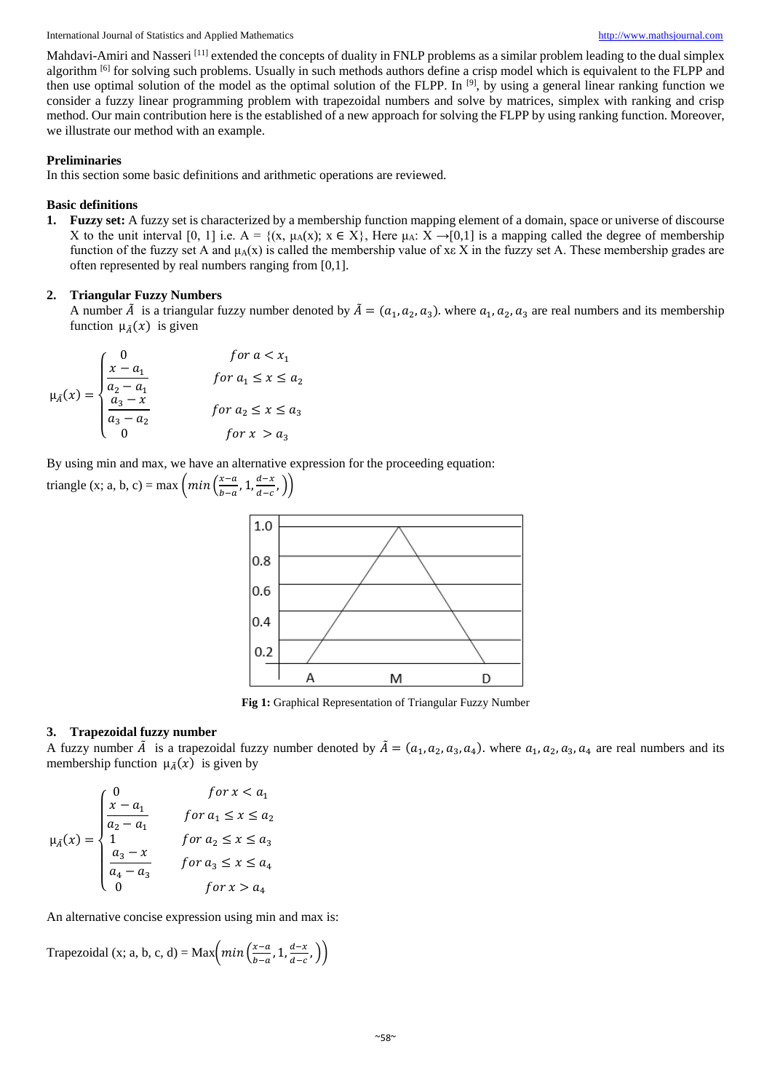International Journal of Statistics and Applied Mathematics [http://www.mathsjournal.com](http://www.mathsjournal.com/)

Mahdavi-Amiri and Nasseri<sup>[11]</sup> extended the concepts of duality in FNLP problems as a similar problem leading to the dual simplex algorithm <sup>[6]</sup> for solving such problems. Usually in such methods authors define a crisp model which is equivalent to the FLPP and then use optimal solution of the model as the optimal solution of the FLPP. In [9], by using a general linear ranking function we consider a fuzzy linear programming problem with trapezoidal numbers and solve by matrices, simplex with ranking and crisp method. Our main contribution here is the established of a new approach for solving the FLPP by using ranking function. Moreover, we illustrate our method with an example.

#### **Preliminaries**

In this section some basic definitions and arithmetic operations are reviewed.

### **Basic definitions**

**1. Fuzzy set:** A fuzzy set is characterized by a membership function mapping element of a domain, space or universe of discourse X to the unit interval [0, 1] i.e.  $A = \{(x, \mu_A(x); x \in X\})$ . Here  $\mu_A: X \to [0,1]$  is a mapping called the degree of membership function of the fuzzy set A and  $\mu_A(x)$  is called the membership value of xe X in the fuzzy set A. These membership grades are often represented by real numbers ranging from [0,1].

## **2. Triangular Fuzzy Numbers**

A number  $\tilde{A}$  is a triangular fuzzy number denoted by  $\tilde{A} = (a_1, a_2, a_3)$ . where  $a_1, a_2, a_3$  are real numbers and its membership function  $\mu_{\tilde{A}}(x)$  is given

$$
\mu_{\tilde{A}}(x) = \begin{cases}\n0 & \text{for } a < x_1 \\
\frac{x - a_1}{a_2 - a_1} & \text{for } a_1 \le x \le a_2 \\
\frac{a_3 - x}{a_3 - a_2} & \text{for } a_2 \le x \le a_3 \\
0 & \text{for } x > a_3\n\end{cases}
$$

By using min and max, we have an alternative expression for the proceeding equation:

triangle (x; a, b, c) = max 
$$
\left( min \left( \frac{x-a}{b-a}, 1, \frac{d-x}{d-c}, \right) \right)
$$



**Fig 1:** Graphical Representation of Triangular Fuzzy Number

## **3. Trapezoidal fuzzy number**

A fuzzy number  $\tilde{A}$  is a trapezoidal fuzzy number denoted by  $\tilde{A} = (a_1, a_2, a_3, a_4)$ . where  $a_1, a_2, a_3, a_4$  are real numbers and its membership function  $\mu_{\tilde{A}}(x)$  is given by

$$
\mu_{\tilde{A}}(x) = \begin{cases}\n0 & \text{for } x < a_1 \\
\frac{x - a_1}{a_2 - a_1} & \text{for } a_1 \le x \le a_2 \\
1 & \text{for } a_2 \le x \le a_3 \\
\frac{a_3 - x}{a_4 - a_3} & \text{for } a_3 \le x \le a_4 \\
0 & \text{for } x > a_4\n\end{cases}
$$

An alternative concise expression using min and max is:

Trapezoidal (x; a, b, c, d) = Max $\left(\frac{m}{h}\right)^2$  $\frac{x-a}{b-a}$ , 1,  $\frac{d-x}{d-c}$  $\frac{a-x}{d-c}$ , ))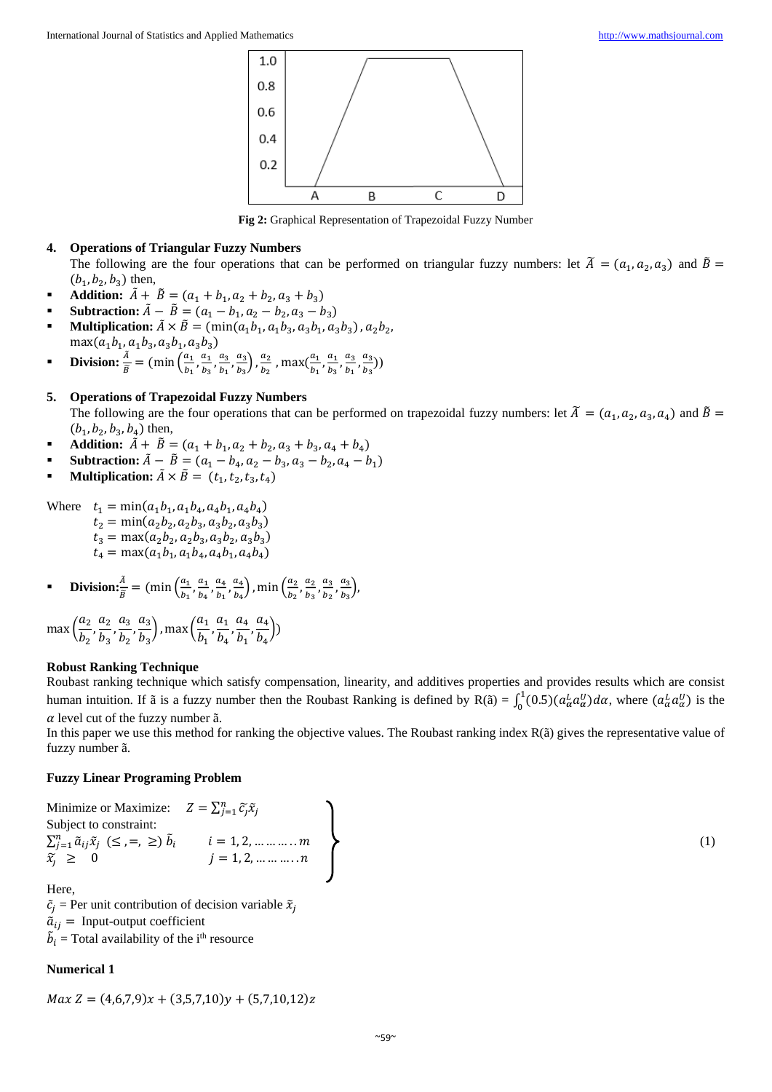

**Fig 2:** Graphical Representation of Trapezoidal Fuzzy Number

## **4. Operations of Triangular Fuzzy Numbers**

The following are the four operations that can be performed on triangular fuzzy numbers: let  $\tilde{A} = (a_1, a_2, a_3)$  and  $\tilde{B} =$  $(b_1, b_2, b_3)$  then,

- **Addition:**  $\tilde{A} + \tilde{B} = (a_1 + b_1, a_2 + b_2, a_3 + b_3)$
- **Subtraction:**  $\tilde{A} \tilde{B} = (a_1 b_1, a_2 b_2, a_3 b_3)$
- **Multiplication:**  $\tilde{A} \times \tilde{B} = (\min(a_1b_1, a_1b_3, a_3b_1, a_3b_3), a_2b_2,$  $max(a_1b_1, a_1b_3, a_3b_1, a_3b_3)$
- **Division:**  $\frac{\tilde{A}}{\tilde{B}} = (\min \left( \frac{a_1}{b_1} \right)$  $\frac{a_1}{b_1}, \frac{a_1}{b_3}$  $\frac{a_1}{b_3}, \frac{a_3}{b_1}$  $\frac{a_3}{b_1}, \frac{a_3}{b_3}$  $\left(\frac{a_3}{b_3}\right)$ ,  $\frac{a_2}{b_2}$  $\frac{a_2}{b_2}$  , max $\left(\frac{a_1}{b_1}\right)$  $\frac{a_1}{b_1}, \frac{a_1}{b_3}$  $\frac{a_1}{b_3}, \frac{a_3}{b_1}$  $\frac{a_3}{b_1}, \frac{a_3}{b_3}$  $\frac{u_3}{b_3})$

## **5. Operations of Trapezoidal Fuzzy Numbers**

The following are the four operations that can be performed on trapezoidal fuzzy numbers: let  $\tilde{A} = (a_1, a_2, a_3, a_4)$  and  $\tilde{B} =$  $(b_1, b_2, b_3, b_4)$  then,

- **Addition:**  $\tilde{A} + \tilde{B} = (a_1 + b_1, a_2 + b_2, a_3 + b_3, a_4 + b_4)$
- **Subtraction:**  $\tilde{A} \tilde{B} = (a_1 b_4, a_2 b_3, a_3 b_2, a_4 b_1)$
- **Multiplication:**  $\tilde{A} \times \tilde{B} = (t_1, t_2, t_3, t_4)$

Where  $t_1 = \min(a_1b_1, a_1b_4, a_4b_1, a_4b_4)$  $t_2 = \min(a_2b_2, a_2b_3, a_3b_2, a_3b_3)$  $t_3 = \max(a_2b_2, a_2b_3, a_3b_2, a_3b_3)$  $t_4 = \max(a_1b_1, a_1b_4, a_4b_1, a_4b_4)$ 

**11** Division: 
$$
\frac{\tilde{A}}{\tilde{B}} = (\min\left(\frac{a_1}{b_1}, \frac{a_1}{b_4}, \frac{a_4}{b_1}, \frac{a_4}{b_4}\right), \min\left(\frac{a_2}{b_2}, \frac{a_2}{b_3}, \frac{a_3}{b_2}, \frac{a_3}{b_3}\right),
$$

max 
$$
\left(\frac{a_2}{b_2}, \frac{a_2}{b_3}, \frac{a_3}{b_2}, \frac{a_3}{b_3}\right)
$$
, max  $\left(\frac{a_1}{b_1}, \frac{a_1}{b_4}, \frac{a_4}{b_1}, \frac{a_4}{b_4}\right)$ 

#### **Robust Ranking Technique**

Roubast ranking technique which satisfy compensation, linearity, and additives properties and provides results which are consist human intuition. If  $\tilde{a}$  is a fuzzy number then the Roubast Ranking is defined by  $R(\tilde{a}) = \int_0^1 (0.5)(a_\alpha^L a_\alpha^U) d\alpha$ , where  $(a_\alpha^L a_\alpha^U)$  is the  $\alpha$  level cut of the fuzzy number  $\tilde{a}$ .

In this paper we use this method for ranking the objective values. The Roubast ranking index R(ã) gives the representative value of fuzzy number ã.

#### **Fuzzy Linear Programing Problem**

Minimize or Maximize: 
$$
Z = \sum_{j=1}^{n} \tilde{c}_j \tilde{x}_j
$$
  
\nSubject to constraint:  
\n $\sum_{j=1}^{n} \tilde{a}_{ij} \tilde{x}_j \ (\leq, =, \geq) \ \tilde{b}_i \qquad i = 1, 2, \dots, m$   
\n $\tilde{x}_j \geq 0 \qquad j = 1, 2, \dots, n$  (1)

Here,

 $\tilde{c}_i$  = Per unit contribution of decision variable  $\tilde{x}_i$  $\tilde{a}_{ij}$  = Input-output coefficient  $\tilde{b}_i$  = Total availability of the i<sup>th</sup> resource

#### **Numerical 1**

$$
Max Z = (4,6,7,9)x + (3,5,7,10)y + (5,7,10,12)z
$$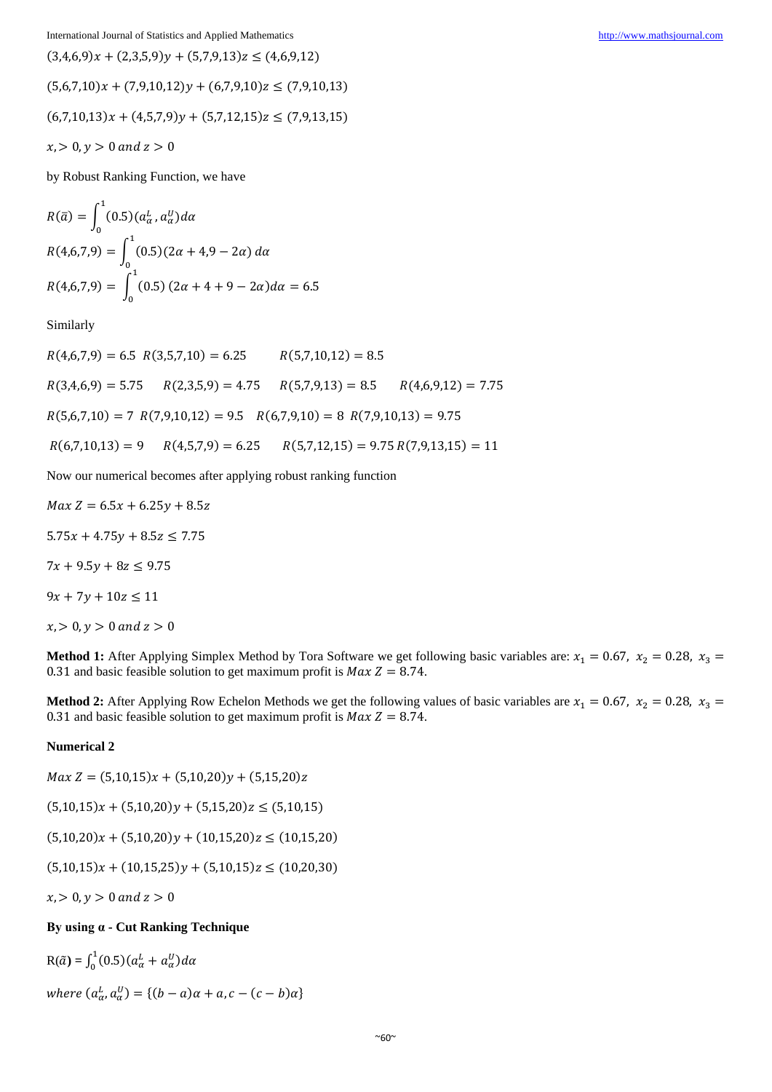International Journal of Statistics and Applied Mathematics [http://www.mathsjournal.com](http://www.mathsjournal.com/)

 $(3,4,6,9)x + (2,3,5,9)y + (5,7,9,13)z \leq (4,6,9,12)$  $(5,6,7,10)x + (7,9,10,12)y + (6,7,9,10)z \le (7,9,10,13)$  $(6,7,10,13)x + (4,5,7,9)y + (5,7,12,15)z \le (7,9,13,15)$  $x, > 0, y > 0$  and  $z > 0$ 

by Robust Ranking Function, we have

$$
R(\bar{a}) = \int_0^1 (0.5)(a_\alpha^L, a_\alpha^U) d\alpha
$$
  
\n
$$
R(4.6.7.9) = \int_0^1 (0.5)(2\alpha + 4.9 - 2\alpha) d\alpha
$$
  
\n
$$
R(4.6.7.9) = \int_0^1 (0.5)(2\alpha + 4 + 9 - 2\alpha) d\alpha = 6.5
$$

Similarly

 $R(4,6,7,9) = 6.5 R(3,5,7,10) = 6.25 R(5,7,10,12) = 8.5$  $R(3,4,6,9) = 5.75$   $R(2,3,5,9) = 4.75$   $R(5,7,9,13) = 8.5$   $R(4,6,9,12) = 7.75$  $R(5,6,7,10) = 7 R(7,9,10,12) = 9.5 R(6,7,9,10) = 8 R(7,9,10,13) = 9.75$  $R(6,7,10,13) = 9$   $R(4,5,7,9) = 6.25$   $R(5,7,12,15) = 9.75 R(7,9,13,15) = 11$ 

Now our numerical becomes after applying robust ranking function

 $Max Z = 6.5x + 6.25y + 8.5z$  $5.75x + 4.75y + 8.5z \le 7.75$  $7x + 9.5y + 8z \le 9.75$  $9x + 7y + 10z \le 11$  $x, > 0, y > 0$  and  $z > 0$ 

**Method 1:** After Applying Simplex Method by Tora Software we get following basic variables are:  $x_1 = 0.67$ ,  $x_2 = 0.28$ ,  $x_3 =$ 0.31 and basic feasible solution to get maximum profit is  $Max Z = 8.74$ .

**Method 2:** After Applying Row Echelon Methods we get the following values of basic variables are  $x_1 = 0.67$ ,  $x_2 = 0.28$ ,  $x_3 = 0.38$ 0.31 and basic feasible solution to get maximum profit is  $Max Z = 8.74$ .

## **Numerical 2**

 $Max Z = (5,10,15)x + (5,10,20)y + (5,15,20)z$ 

 $(5,10,15)x + (5,10,20)y + (5,15,20)z \leq (5,10,15)$ 

 $(5,10,20)x + (5,10,20)y + (10,15,20)z \le (10,15,20)$ 

 $(5,10,15)x + (10,15,25)y + (5,10,15)z \le (10,20,30)$ 

 $x, > 0, y > 0$  and  $z > 0$ 

## **By using α - Cut Ranking Technique**

 $R(\tilde{a}) = \int_0^1 (0.5)(a_\alpha^L + a_\alpha^U) d\alpha$ 

where  $(a_{\alpha}^L, a_{\alpha}^U) = \{(b - a)\alpha + a, c - (c - b)\alpha\}$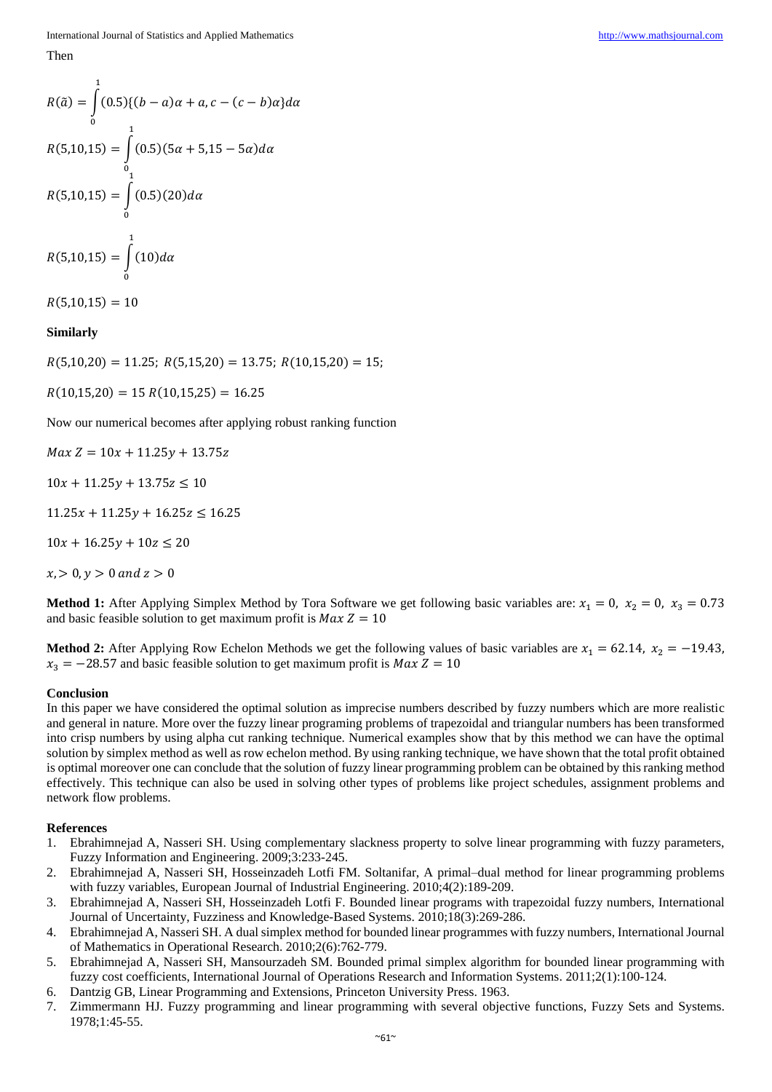Then

$$
R(\tilde{a}) = \int_{0}^{1} (0.5)\{(b-a)\alpha + a, c - (c-b)\alpha\} d\alpha
$$
  

$$
R(5,10,15) = \int_{0}^{1} (0.5)(5\alpha + 5,15 - 5\alpha) d\alpha
$$
  

$$
R(5,10,15) = \int_{0}^{1} (0.5)(20) d\alpha
$$

$$
R(5,10,15)=\int\limits_0^1(10) d\alpha
$$

 $R(5,10,15) = 10$ 

### **Similarly**

 $R(5,10,20) = 11.25; R(5,15,20) = 13.75; R(10,15,20) = 15;$ 

 $R(10,15,20) = 15 R(10,15,25) = 16.25$ 

Now our numerical becomes after applying robust ranking function

 $Max Z = 10x + 11.25y + 13.75z$ 

 $10x + 11.25y + 13.75z \le 10$ 

 $11.25x + 11.25y + 16.25z \le 16.25$ 

 $10x + 16.25y + 10z \le 20$ 

 $x, > 0, y > 0$  and  $z > 0$ 

**Method 1:** After Applying Simplex Method by Tora Software we get following basic variables are:  $x_1 = 0$ ,  $x_2 = 0$ ,  $x_3 = 0.73$ and basic feasible solution to get maximum profit is  $Max Z = 10$ 

**Method 2:** After Applying Row Echelon Methods we get the following values of basic variables are  $x_1 = 62.14$ ,  $x_2 = -19.43$ ,  $x_3 = -28.57$  and basic feasible solution to get maximum profit is  $Max Z = 10$ 

#### **Conclusion**

In this paper we have considered the optimal solution as imprecise numbers described by fuzzy numbers which are more realistic and general in nature. More over the fuzzy linear programing problems of trapezoidal and triangular numbers has been transformed into crisp numbers by using alpha cut ranking technique. Numerical examples show that by this method we can have the optimal solution by simplex method as well as row echelon method. By using ranking technique, we have shown that the total profit obtained is optimal moreover one can conclude that the solution of fuzzy linear programming problem can be obtained by this ranking method effectively. This technique can also be used in solving other types of problems like project schedules, assignment problems and network flow problems.

#### **References**

- 1. Ebrahimnejad A, Nasseri SH. Using complementary slackness property to solve linear programming with fuzzy parameters, Fuzzy Information and Engineering. 2009;3:233-245.
- 2. Ebrahimnejad A, Nasseri SH, Hosseinzadeh Lotfi FM. Soltanifar, A primal–dual method for linear programming problems with fuzzy variables, European Journal of Industrial Engineering. 2010;4(2):189-209.
- 3. Ebrahimnejad A, Nasseri SH, Hosseinzadeh Lotfi F. Bounded linear programs with trapezoidal fuzzy numbers, International Journal of Uncertainty, Fuzziness and Knowledge-Based Systems. 2010;18(3):269-286.
- 4. Ebrahimnejad A, Nasseri SH. A dual simplex method for bounded linear programmes with fuzzy numbers, International Journal of Mathematics in Operational Research. 2010;2(6):762-779.
- 5. Ebrahimnejad A, Nasseri SH, Mansourzadeh SM. Bounded primal simplex algorithm for bounded linear programming with fuzzy cost coefficients, International Journal of Operations Research and Information Systems. 2011;2(1):100-124.
- 6. Dantzig GB, Linear Programming and Extensions, Princeton University Press. 1963.
- 7. Zimmermann HJ. Fuzzy programming and linear programming with several objective functions, Fuzzy Sets and Systems. 1978;1:45-55.